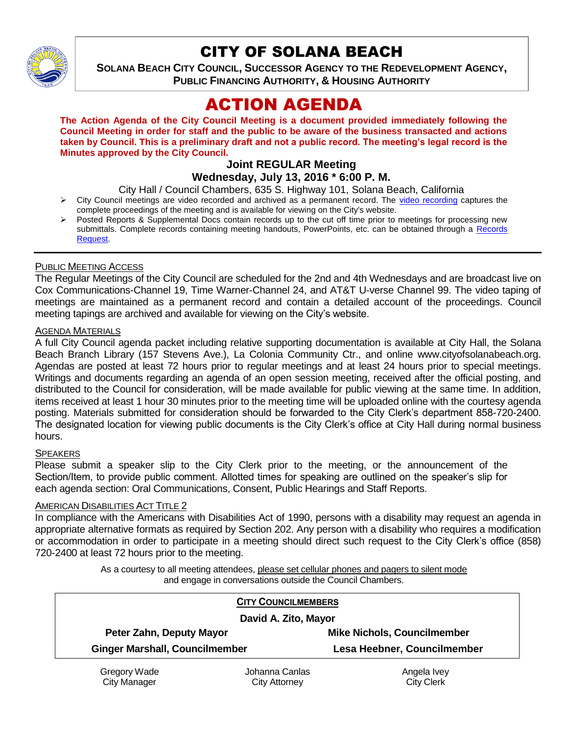

# CITY OF SOLANA BEACH

**SOLANA BEACH CITY COUNCIL, SUCCESSOR AGENCY TO THE REDEVELOPMENT AGENCY, PUBLIC FINANCING AUTHORITY, & HOUSING AUTHORITY** 

# ACTION AGENDA

**The Action Agenda of the City Council Meeting is a document provided immediately following the Council Meeting in order for staff and the public to be aware of the business transacted and actions taken by Council. This is a preliminary draft and not a public record. The meeting's legal record is the Minutes approved by the City Council.**

#### **Joint REGULAR Meeting Wednesday, July 13, 2016 \* 6:00 P. M.**

City Hall / Council Chambers, 635 S. Highway 101, Solana Beach, California

- $\triangleright$  City Council meetings are video recorded and archived as a permanent record. The [video recording](http://solanabeach.12milesout.com/#/video/dce1a37a-fcc9-4bd6-8457-1190c9f31946) captures the complete proceedings of the meeting and is available for viewing on the City's website.
- Posted Reports & Supplemental Docs contain records up to the cut off time prior to meetings for processing new submittals. Complete records containing meeting handouts, PowerPoints, etc. can be obtained through a Records [Request.](http://www.ci.solana-beach.ca.us/index.asp?SEC=F5D45D10-70CE-4291-A27C-7BD633FC6742&Type=B_BASIC)

#### PUBLIC MEETING ACCESS

The Regular Meetings of the City Council are scheduled for the 2nd and 4th Wednesdays and are broadcast live on Cox Communications-Channel 19, Time Warner-Channel 24, and AT&T U-verse Channel 99. The video taping of meetings are maintained as a permanent record and contain a detailed account of the proceedings. Council meeting tapings are archived and available for viewing on the City's website.

#### AGENDA MATERIALS

A full City Council agenda packet including relative supporting documentation is available at City Hall, the Solana Beach Branch Library (157 Stevens Ave.), La Colonia Community Ctr., and online www.cityofsolanabeach.org. Agendas are posted at least 72 hours prior to regular meetings and at least 24 hours prior to special meetings. Writings and documents regarding an agenda of an open session meeting, received after the official posting, and distributed to the Council for consideration, will be made available for public viewing at the same time. In addition, items received at least 1 hour 30 minutes prior to the meeting time will be uploaded online with the courtesy agenda posting. Materials submitted for consideration should be forwarded to the City Clerk's department 858-720-2400. The designated location for viewing public documents is the City Clerk's office at City Hall during normal business hours.

#### **SPEAKERS**

Please submit a speaker slip to the City Clerk prior to the meeting, or the announcement of the Section/Item, to provide public comment. Allotted times for speaking are outlined on the speaker's slip for each agenda section: Oral Communications, Consent, Public Hearings and Staff Reports.

#### AMERICAN DISABILITIES ACT TITLE 2

In compliance with the Americans with Disabilities Act of 1990, persons with a disability may request an agenda in appropriate alternative formats as required by Section 202. Any person with a disability who requires a modification or accommodation in order to participate in a meeting should direct such request to the City Clerk's office (858) 720-2400 at least 72 hours prior to the meeting.

> As a courtesy to all meeting attendees, please set cellular phones and pagers to silent mode and engage in conversations outside the Council Chambers.

|                                       | <b>CITY COUNCILMEMBERS</b> |                                    |
|---------------------------------------|----------------------------|------------------------------------|
|                                       | David A. Zito, Mayor       |                                    |
| Peter Zahn, Deputy Mayor              |                            | <b>Mike Nichols, Councilmember</b> |
| <b>Ginger Marshall, Councilmember</b> |                            | Lesa Heebner, Councilmember        |
| Gregory Wade                          | Johanna Canlas             | Angela Ivey                        |
| <b>City Manager</b>                   | City Attorney              | <b>City Clerk</b>                  |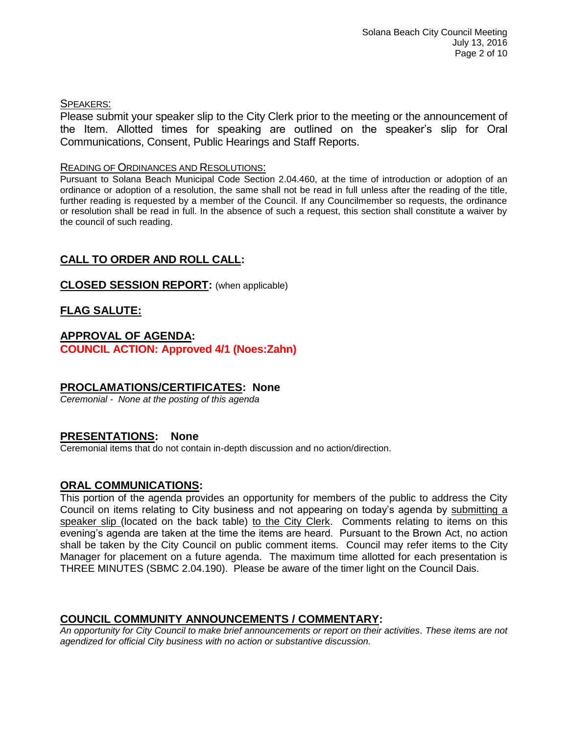#### SPEAKERS:

Please submit your speaker slip to the City Clerk prior to the meeting or the announcement of the Item. Allotted times for speaking are outlined on the speaker's slip for Oral Communications, Consent, Public Hearings and Staff Reports.

#### READING OF ORDINANCES AND RESOLUTIONS:

Pursuant to Solana Beach Municipal Code Section 2.04.460, at the time of introduction or adoption of an ordinance or adoption of a resolution, the same shall not be read in full unless after the reading of the title, further reading is requested by a member of the Council. If any Councilmember so requests, the ordinance or resolution shall be read in full. In the absence of such a request, this section shall constitute a waiver by the council of such reading.

# **CALL TO ORDER AND ROLL CALL:**

#### **CLOSED SESSION REPORT:** (when applicable)

#### **FLAG SALUTE:**

#### **APPROVAL OF AGENDA: COUNCIL ACTION: Approved 4/1 (Noes:Zahn)**

#### **PROCLAMATIONS/CERTIFICATES: None**

*Ceremonial - None at the posting of this agenda*

#### **PRESENTATIONS: None**

Ceremonial items that do not contain in-depth discussion and no action/direction.

#### **ORAL COMMUNICATIONS:**

This portion of the agenda provides an opportunity for members of the public to address the City Council on items relating to City business and not appearing on today's agenda by submitting a speaker slip (located on the back table) to the City Clerk. Comments relating to items on this evening's agenda are taken at the time the items are heard. Pursuant to the Brown Act, no action shall be taken by the City Council on public comment items. Council may refer items to the City Manager for placement on a future agenda. The maximum time allotted for each presentation is THREE MINUTES (SBMC 2.04.190). Please be aware of the timer light on the Council Dais.

#### **COUNCIL COMMUNITY ANNOUNCEMENTS / COMMENTARY:**

*An opportunity for City Council to make brief announcements or report on their activities. These items are not agendized for official City business with no action or substantive discussion.*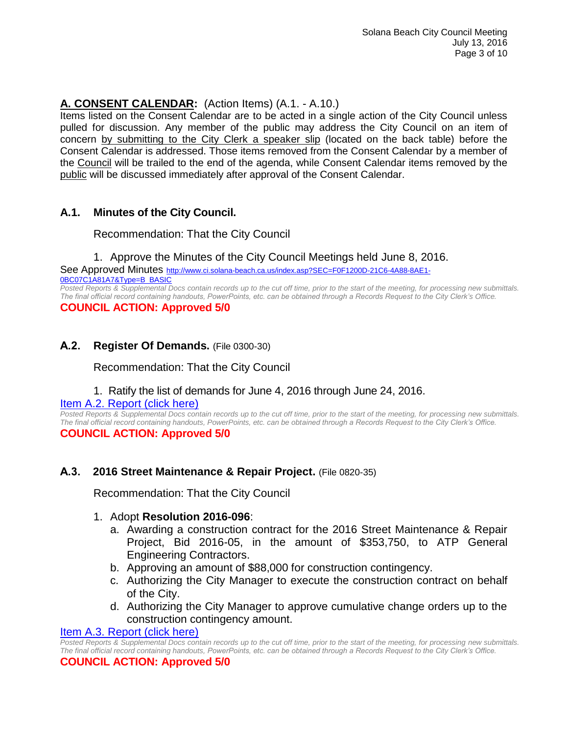# **A. CONSENT CALENDAR:** (Action Items) (A.1. - A.10.)

Items listed on the Consent Calendar are to be acted in a single action of the City Council unless pulled for discussion. Any member of the public may address the City Council on an item of concern by submitting to the City Clerk a speaker slip (located on the back table) before the Consent Calendar is addressed. Those items removed from the Consent Calendar by a member of the Council will be trailed to the end of the agenda, while Consent Calendar items removed by the public will be discussed immediately after approval of the Consent Calendar.

# **A.1. Minutes of the City Council.**

Recommendation: That the City Council

1. Approve the Minutes of the City Council Meetings held June 8, 2016.

See Approved Minutes [http://www.ci.solana-beach.ca.us/index.asp?SEC=F0F1200D-21C6-4A88-8AE1-](http://www.ci.solana-beach.ca.us/index.asp?SEC=F0F1200D-21C6-4A88-8AE1-0BC07C1A81A7&Type=B_BASIC) [0BC07C1A81A7&Type=B\\_BASIC](http://www.ci.solana-beach.ca.us/index.asp?SEC=F0F1200D-21C6-4A88-8AE1-0BC07C1A81A7&Type=B_BASIC)

*Posted Reports & Supplemental Docs contain records up to the cut off time, prior to the start of the meeting, for processing new submittals. The final official record containing handouts, PowerPoints, etc. can be obtained through a Records Request to the City Clerk's Office.* **COUNCIL ACTION: Approved 5/0**

#### **A.2. Register Of Demands.** (File 0300-30)

Recommendation: That the City Council

#### 1. Ratify the list of demands for June 4, 2016 through June 24, 2016.

#### [Item A.2. Report \(click here\)](https://solanabeach.govoffice3.com/vertical/Sites/%7B840804C2-F869-4904-9AE3-720581350CE7%7D/uploads/Item_A.2._Report_(click_here)_07-13-16.PDF)

*Posted Reports & Supplemental Docs contain records up to the cut off time, prior to the start of the meeting, for processing new submittals. The final official record containing handouts, PowerPoints, etc. can be obtained through a Records Request to the City Clerk's Office.* **COUNCIL ACTION: Approved 5/0**

#### **A.3. 2016 Street Maintenance & Repair Project.** (File 0820-35)

Recommendation: That the City Council

#### 1. Adopt **Resolution 2016-096**:

- a. Awarding a construction contract for the 2016 Street Maintenance & Repair Project, Bid 2016-05, in the amount of \$353,750, to ATP General Engineering Contractors.
- b. Approving an amount of \$88,000 for construction contingency.
- c. Authorizing the City Manager to execute the construction contract on behalf of the City.
- d. Authorizing the City Manager to approve cumulative change orders up to the construction contingency amount.

#### [Item A.3. Report \(click here\)](https://solanabeach.govoffice3.com/vertical/Sites/%7B840804C2-F869-4904-9AE3-720581350CE7%7D/uploads/Item_A.3._Report_(click_here)_07-13-16.PDF)

*Posted Reports & Supplemental Docs contain records up to the cut off time, prior to the start of the meeting, for processing new submittals. The final official record containing handouts, PowerPoints, etc. can be obtained through a Records Request to the City Clerk's Office.*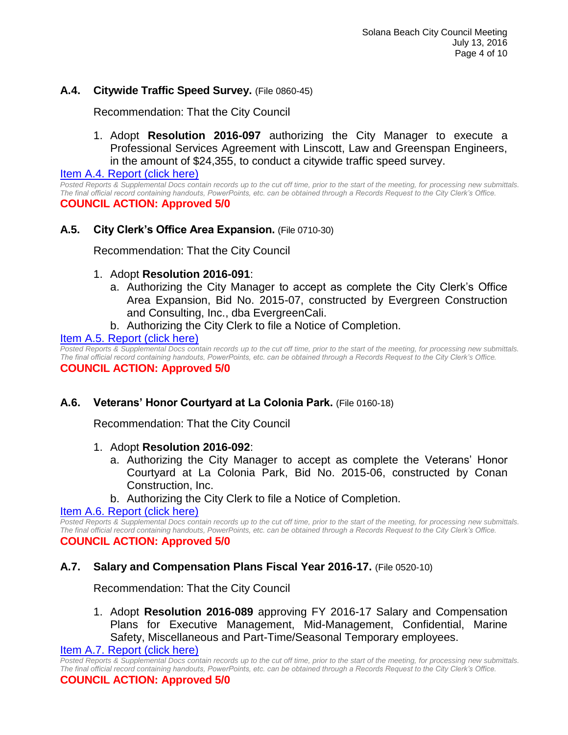#### **A.4. Citywide Traffic Speed Survey.** (File 0860-45)

Recommendation: That the City Council

1. Adopt **Resolution 2016-097** authorizing the City Manager to execute a Professional Services Agreement with Linscott, Law and Greenspan Engineers, in the amount of \$24,355, to conduct a citywide traffic speed survey.

[Item A.4. Report \(click here\)](https://solanabeach.govoffice3.com/vertical/Sites/%7B840804C2-F869-4904-9AE3-720581350CE7%7D/uploads/Item_A.4._Report_(click_here)_07-13-16.PDF)

*Posted Reports & Supplemental Docs contain records up to the cut off time, prior to the start of the meeting, for processing new submittals. The final official record containing handouts, PowerPoints, etc. can be obtained through a Records Request to the City Clerk's Office.* **COUNCIL ACTION: Approved 5/0**

#### **A.5. City Clerk's Office Area Expansion.** (File 0710-30)

Recommendation: That the City Council

#### 1. Adopt **Resolution 2016-091**:

- a. Authorizing the City Manager to accept as complete the City Clerk's Office Area Expansion, Bid No. 2015-07, constructed by Evergreen Construction and Consulting, Inc., dba EvergreenCali.
- b. Authorizing the City Clerk to file a Notice of Completion.

#### Item A.5. [Report \(click here\)](https://solanabeach.govoffice3.com/vertical/Sites/%7B840804C2-F869-4904-9AE3-720581350CE7%7D/uploads/Item_A.5._Report_(click_here)_07-13-16.PDF)

*Posted Reports & Supplemental Docs contain records up to the cut off time, prior to the start of the meeting, for processing new submittals. The final official record containing handouts, PowerPoints, etc. can be obtained through a Records Request to the City Clerk's Office.* **COUNCIL ACTION: Approved 5/0**

#### **A.6. Veterans' Honor Courtyard at La Colonia Park.** (File 0160-18)

Recommendation: That the City Council

- 1. Adopt **Resolution 2016-092**:
	- a. Authorizing the City Manager to accept as complete the Veterans' Honor Courtyard at La Colonia Park, Bid No. 2015-06, constructed by Conan Construction, Inc.
	- b. Authorizing the City Clerk to file a Notice of Completion.

#### [Item A.6. Report \(click here\)](https://solanabeach.govoffice3.com/vertical/Sites/%7B840804C2-F869-4904-9AE3-720581350CE7%7D/uploads/Item_A.6._Report_(click_here)_07-13-16.PDF)

*Posted Reports & Supplemental Docs contain records up to the cut off time, prior to the start of the meeting, for processing new submittals. The final official record containing handouts, PowerPoints, etc. can be obtained through a Records Request to the City Clerk's Office.* **COUNCIL ACTION: Approved 5/0**

#### **A.7. Salary and Compensation Plans Fiscal Year 2016-17.** (File 0520-10)

Recommendation: That the City Council

1. Adopt **Resolution 2016-089** approving FY 2016-17 Salary and Compensation Plans for Executive Management, Mid-Management, Confidential, Marine Safety, Miscellaneous and Part-Time/Seasonal Temporary employees.

[Item A.7. Report \(click here\)](https://solanabeach.govoffice3.com/vertical/Sites/%7B840804C2-F869-4904-9AE3-720581350CE7%7D/uploads/Item_A.7._Report_(click_here)_07-13-16.PDF)

*Posted Reports & Supplemental Docs contain records up to the cut off time, prior to the start of the meeting, for processing new submittals. The final official record containing handouts, PowerPoints, etc. can be obtained through a Records Request to the City Clerk's Office.* **COUNCIL ACTION: Approved 5/0**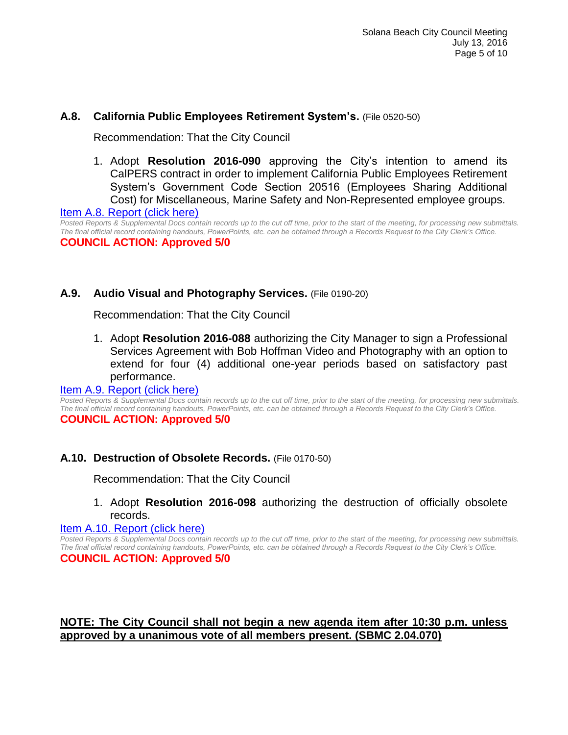#### **A.8. California Public Employees Retirement System's.** (File 0520-50)

Recommendation: That the City Council

1. Adopt **Resolution 2016-090** approving the City's intention to amend its CalPERS contract in order to implement California Public Employees Retirement System's Government Code Section 20516 (Employees Sharing Additional Cost) for Miscellaneous, Marine Safety and Non-Represented employee groups.

[Item A.8. Report \(click here\)](https://solanabeach.govoffice3.com/vertical/Sites/%7B840804C2-F869-4904-9AE3-720581350CE7%7D/uploads/Item_A.8._Report_(click_here)_07-13-16.PDF)

*Posted Reports & Supplemental Docs contain records up to the cut off time, prior to the start of the meeting, for processing new submittals. The final official record containing handouts, PowerPoints, etc. can be obtained through a Records Request to the City Clerk's Office.* **COUNCIL ACTION: Approved 5/0**

#### **A.9. Audio Visual and Photography Services.** (File 0190-20)

Recommendation: That the City Council

1. Adopt **Resolution 2016-088** authorizing the City Manager to sign a Professional Services Agreement with Bob Hoffman Video and Photography with an option to extend for four (4) additional one-year periods based on satisfactory past performance.

#### [Item A.9. Report \(click here\)](https://solanabeach.govoffice3.com/vertical/Sites/%7B840804C2-F869-4904-9AE3-720581350CE7%7D/uploads/Item_A.9._Report_(click_here)_07-13-16.PDF)

*Posted Reports & Supplemental Docs contain records up to the cut off time, prior to the start of the meeting, for processing new submittals. The final official record containing handouts, PowerPoints, etc. can be obtained through a Records Request to the City Clerk's Office.* **COUNCIL ACTION: Approved 5/0**

#### **A.10. Destruction of Obsolete Records.** (File 0170-50)

Recommendation: That the City Council

#### 1. Adopt **Resolution 2016-098** authorizing the destruction of officially obsolete records.

#### [Item A.10. Report \(click here\)](https://solanabeach.govoffice3.com/vertical/Sites/%7B840804C2-F869-4904-9AE3-720581350CE7%7D/uploads/Item_A.10._Report_(click_here)_07-13-16.PDF)

*Posted Reports & Supplemental Docs contain records up to the cut off time, prior to the start of the meeting, for processing new submittals. The final official record containing handouts, PowerPoints, etc. can be obtained through a Records Request to the City Clerk's Office.* **COUNCIL ACTION: Approved 5/0**

#### **NOTE: The City Council shall not begin a new agenda item after 10:30 p.m. unless approved by a unanimous vote of all members present. (SBMC 2.04.070)**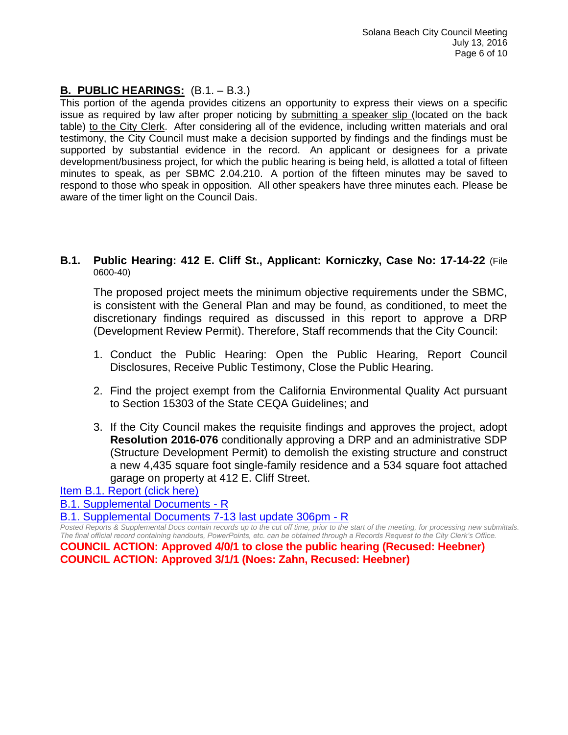# **B. PUBLIC HEARINGS:** (B.1. – B.3.)

This portion of the agenda provides citizens an opportunity to express their views on a specific issue as required by law after proper noticing by submitting a speaker slip (located on the back table) to the City Clerk. After considering all of the evidence, including written materials and oral testimony, the City Council must make a decision supported by findings and the findings must be supported by substantial evidence in the record. An applicant or designees for a private development/business project, for which the public hearing is being held, is allotted a total of fifteen minutes to speak, as per SBMC 2.04.210. A portion of the fifteen minutes may be saved to respond to those who speak in opposition. All other speakers have three minutes each. Please be aware of the timer light on the Council Dais.

#### **B.1. Public Hearing: 412 E. Cliff St., Applicant: Korniczky, Case No: 17-14-22** (File 0600-40)

The proposed project meets the minimum objective requirements under the SBMC, is consistent with the General Plan and may be found, as conditioned, to meet the discretionary findings required as discussed in this report to approve a DRP (Development Review Permit). Therefore, Staff recommends that the City Council:

- 1. Conduct the Public Hearing: Open the Public Hearing, Report Council Disclosures, Receive Public Testimony, Close the Public Hearing.
- 2. Find the project exempt from the California Environmental Quality Act pursuant to Section 15303 of the State CEQA Guidelines; and
- 3. If the City Council makes the requisite findings and approves the project, adopt **Resolution 2016-076** conditionally approving a DRP and an administrative SDP (Structure Development Permit) to demolish the existing structure and construct a new 4,435 square foot single-family residence and a 534 square foot attached garage on property at 412 E. Cliff Street.

[Item B.1. Report \(click here\)](https://solanabeach.govoffice3.com/vertical/Sites/%7B840804C2-F869-4904-9AE3-720581350CE7%7D/uploads/Item_B.1._Report_(click_here)_07-13-16.PDF) 

[B.1. Supplemental Documents -](https://solanabeach.govoffice3.com/vertical/Sites/%7B840804C2-F869-4904-9AE3-720581350CE7%7D/uploads/B.1._Supplemental_Documents_-_R_7-13-16.pdf) R

[B.1. Supplemental Documents 7-13 last update 306pm -](https://solanabeach.govoffice3.com/vertical/Sites/%7B840804C2-F869-4904-9AE3-720581350CE7%7D/uploads/B.1._Supplemental_Documents_7-13_last_updated_306pm_-_R.pdf) R

*Posted Reports & Supplemental Docs contain records up to the cut off time, prior to the start of the meeting, for processing new submittals. The final official record containing handouts, PowerPoints, etc. can be obtained through a Records Request to the City Clerk's Office.*

**COUNCIL ACTION: Approved 4/0/1 to close the public hearing (Recused: Heebner) COUNCIL ACTION: Approved 3/1/1 (Noes: Zahn, Recused: Heebner)**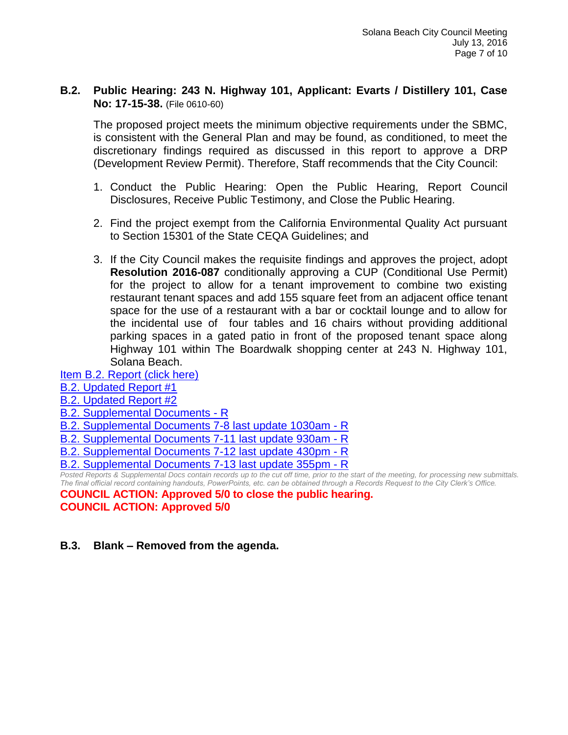#### **B.2. Public Hearing: 243 N. Highway 101, Applicant: Evarts / Distillery 101, Case No: 17-15-38.** (File 0610-60)

The proposed project meets the minimum objective requirements under the SBMC, is consistent with the General Plan and may be found, as conditioned, to meet the discretionary findings required as discussed in this report to approve a DRP (Development Review Permit). Therefore, Staff recommends that the City Council:

- 1. Conduct the Public Hearing: Open the Public Hearing, Report Council Disclosures, Receive Public Testimony, and Close the Public Hearing.
- 2. Find the project exempt from the California Environmental Quality Act pursuant to Section 15301 of the State CEQA Guidelines; and
- 3. If the City Council makes the requisite findings and approves the project, adopt **Resolution 2016-087** conditionally approving a CUP (Conditional Use Permit) for the project to allow for a tenant improvement to combine two existing restaurant tenant spaces and add 155 square feet from an adjacent office tenant space for the use of a restaurant with a bar or cocktail lounge and to allow for the incidental use of four tables and 16 chairs without providing additional parking spaces in a gated patio in front of the proposed tenant space along Highway 101 within The Boardwalk shopping center at 243 N. Highway 101, Solana Beach.

[Item B.2. Report \(click here\)](https://solanabeach.govoffice3.com/vertical/Sites/%7B840804C2-F869-4904-9AE3-720581350CE7%7D/uploads/Item_B.2._Report_(click_here)_07-13-16.PDF)

[B.2. Updated Report #1](https://solanabeach.govoffice3.com/vertical/Sites/%7B840804C2-F869-4904-9AE3-720581350CE7%7D/uploads/B.2._Updated_Report_1_7-13-16.pdf)

- [B.2. Updated Report #2](https://solanabeach.govoffice3.com/vertical/Sites/%7B840804C2-F869-4904-9AE3-720581350CE7%7D/uploads/B.2._Updated_Report_2_7-13-16.pdf)
- [B.2. Supplemental Documents -](https://solanabeach.govoffice3.com/vertical/Sites/%7B840804C2-F869-4904-9AE3-720581350CE7%7D/uploads/B.2._Supplemental_Documents_-_R_7-13-16-R.pdf) R
- [B.2. Supplemental Documents 7-8 last update 1030am -](https://solanabeach.govoffice3.com/vertical/Sites/%7B840804C2-F869-4904-9AE3-720581350CE7%7D/uploads/B.2._Supplemental_Documents_7-8_last_update_1030am_-_R.pdf) R
- [B.2. Supplemental Documents 7-11 last update 930am -](https://solanabeach.govoffice3.com/vertical/Sites/%7B840804C2-F869-4904-9AE3-720581350CE7%7D/uploads/B.2._Supplemental_Documents_7-11_last_update_930am_-_R.pdf) R
- [B.2. Supplemental Documents 7-12 last update 430pm -](https://solanabeach.govoffice3.com/vertical/Sites/%7B840804C2-F869-4904-9AE3-720581350CE7%7D/uploads/B.2._Supplemental_Documents_7-12_last_update_430pm-R.pdf) R
- B.2. Supplemental [Documents 7-13 last update 355pm -](https://solanabeach.govoffice3.com/vertical/Sites/%7B840804C2-F869-4904-9AE3-720581350CE7%7D/uploads/B.2._Supplemental_Documents_7-13_last_update_355pm-R.pdf) R

*Posted Reports & Supplemental Docs contain records up to the cut off time, prior to the start of the meeting, for processing new submittals. The final official record containing handouts, PowerPoints, etc. can be obtained through a Records Request to the City Clerk's Office.* **COUNCIL ACTION: Approved 5/0 to close the public hearing.**

**COUNCIL ACTION: Approved 5/0**

**B.3. Blank – Removed from the agenda.**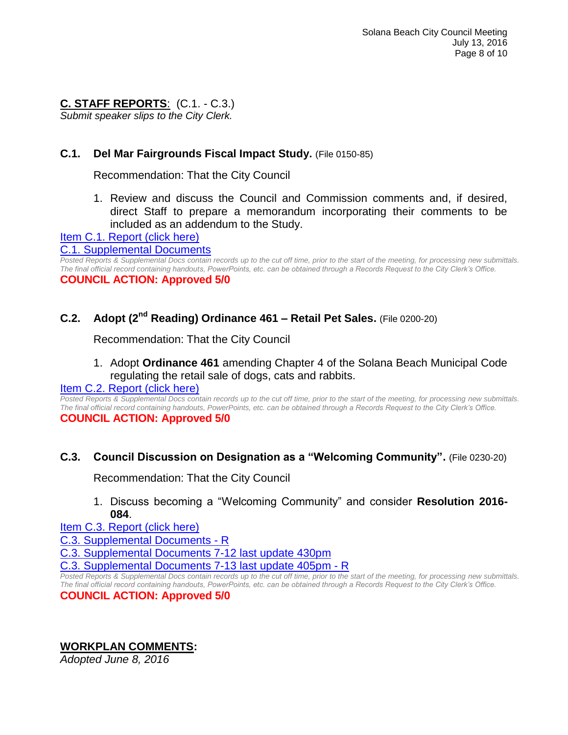# **C. STAFF REPORTS**: (C.1. - C.3.)

*Submit speaker slips to the City Clerk.*

# **C.1. Del Mar Fairgrounds Fiscal Impact Study.** (File 0150-85)

Recommendation: That the City Council

1. Review and discuss the Council and Commission comments and, if desired, direct Staff to prepare a memorandum incorporating their comments to be included as an addendum to the Study.

[Item C.1. Report \(click here\)](https://solanabeach.govoffice3.com/vertical/Sites/%7B840804C2-F869-4904-9AE3-720581350CE7%7D/uploads/Item_C.1._Report_(click_here)_07-13-16.PDF)

#### [C.1. Supplemental Documents](https://solanabeach.govoffice3.com/vertical/Sites/%7B840804C2-F869-4904-9AE3-720581350CE7%7D/uploads/C.1._Supplemental_Documents_.pdf)

*Posted Reports & Supplemental Docs contain records up to the cut off time, prior to the start of the meeting, for processing new submittals. The final official record containing handouts, PowerPoints, etc. can be obtained through a Records Request to the City Clerk's Office.* **COUNCIL ACTION: Approved 5/0**

# **C.2. Adopt (2nd Reading) Ordinance 461 – Retail Pet Sales.** (File 0200-20)

Recommendation: That the City Council

#### 1. Adopt **Ordinance 461** amending Chapter 4 of the Solana Beach Municipal Code regulating the retail sale of dogs, cats and rabbits.

#### [Item C.2. Report \(click here\)](https://solanabeach.govoffice3.com/vertical/Sites/%7B840804C2-F869-4904-9AE3-720581350CE7%7D/uploads/Item_C.2._Report_(click_here)_07-13-16.PDF)

*Posted Reports & Supplemental Docs contain records up to the cut off time, prior to the start of the meeting, for processing new submittals. The final official record containing handouts, PowerPoints, etc. can be obtained through a Records Request to the City Clerk's Office.* **COUNCIL ACTION: Approved 5/0**

#### **C.3. Council Discussion on Designation as a "Welcoming Community".** (File 0230-20)

Recommendation: That the City Council

1. Discuss becoming a "Welcoming Community" and consider **Resolution 2016- 084**.

[Item C.3. Report \(click here\)](https://solanabeach.govoffice3.com/vertical/Sites/%7B840804C2-F869-4904-9AE3-720581350CE7%7D/uploads/Item_C.3._Report_(click_here)_07-13-16.PDF)

[C.3. Supplemental Documents -](https://solanabeach.govoffice3.com/vertical/Sites/%7B840804C2-F869-4904-9AE3-720581350CE7%7D/uploads/C.3._Supplemental_Documents_-_R.pdf) R

[C.3. Supplemental Documents 7-12 last update 430pm](https://solanabeach.govoffice3.com/vertical/Sites/%7B840804C2-F869-4904-9AE3-720581350CE7%7D/uploads/C.3._Supplemental_Documents_7-12_last_update_430pm_-_R.pdf)

[C.3. Supplemental Documents 7-13 last update 405pm -](https://solanabeach.govoffice3.com/vertical/Sites/%7B840804C2-F869-4904-9AE3-720581350CE7%7D/uploads/C.3._Supplemental_Documents_7-13_last_update_405pm.pdf) R

*Posted Reports & Supplemental Docs contain records up to the cut off time, prior to the start of the meeting, for processing new submittals. The final official record containing handouts, PowerPoints, etc. can be obtained through a Records Request to the City Clerk's Office.* **COUNCIL ACTION: Approved 5/0**

# **WORKPLAN COMMENTS:**

*Adopted June 8, 2016*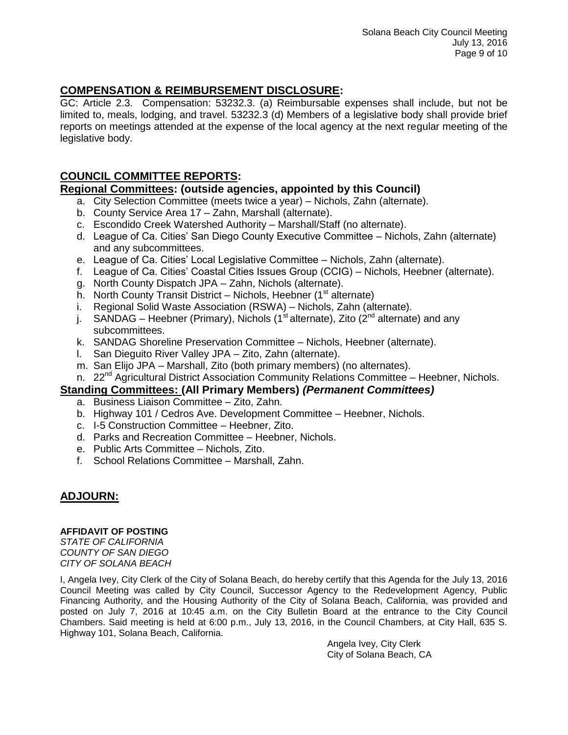# **COMPENSATION & REIMBURSEMENT DISCLOSURE:**

GC: Article 2.3. Compensation: 53232.3. (a) Reimbursable expenses shall include, but not be limited to, meals, lodging, and travel. 53232.3 (d) Members of a legislative body shall provide brief reports on meetings attended at the expense of the local agency at the next regular meeting of the legislative body.

### **COUNCIL COMMITTEE REPORTS:**

#### **Regional Committees: (outside agencies, appointed by this Council)**

- a. City Selection Committee (meets twice a year) Nichols, Zahn (alternate).
- b. County Service Area 17 Zahn, Marshall (alternate).
- c. Escondido Creek Watershed Authority Marshall/Staff (no alternate).
- d. League of Ca. Cities' San Diego County Executive Committee Nichols, Zahn (alternate) and any subcommittees.
- e. League of Ca. Cities' Local Legislative Committee Nichols, Zahn (alternate).
- f. League of Ca. Cities' Coastal Cities Issues Group (CCIG) Nichols, Heebner (alternate).
- g. North County Dispatch JPA Zahn, Nichols (alternate).
- h. North County Transit District Nichols, Heebner  $(1<sup>st</sup>$  alternate)
- i. Regional Solid Waste Association (RSWA) Nichols, Zahn (alternate).
- j. SANDAG Heebner (Primary), Nichols (1<sup>st</sup> alternate), Zito (2<sup>nd</sup> alternate) and any subcommittees.
- k. SANDAG Shoreline Preservation Committee Nichols, Heebner (alternate).
- l. San Dieguito River Valley JPA Zito, Zahn (alternate).
- m. San Elijo JPA Marshall, Zito (both primary members) (no alternates).
- n. 22<sup>nd</sup> Agricultural District Association Community Relations Committee Heebner, Nichols.

#### **Standing Committees: (All Primary Members)** *(Permanent Committees)*

- a. Business Liaison Committee Zito, Zahn.
- b. Highway 101 / Cedros Ave. Development Committee Heebner, Nichols.
- c. I-5 Construction Committee Heebner, Zito.
- d. Parks and Recreation Committee Heebner, Nichols.
- e. Public Arts Committee Nichols, Zito.
- f. School Relations Committee Marshall, Zahn.

# **ADJOURN:**

#### **AFFIDAVIT OF POSTING**

*STATE OF CALIFORNIA COUNTY OF SAN DIEGO CITY OF SOLANA BEACH* 

I, Angela Ivey, City Clerk of the City of Solana Beach, do hereby certify that this Agenda for the July 13, 2016 Council Meeting was called by City Council, Successor Agency to the Redevelopment Agency, Public Financing Authority, and the Housing Authority of the City of Solana Beach, California, was provided and posted on July 7, 2016 at 10:45 a.m. on the City Bulletin Board at the entrance to the City Council Chambers. Said meeting is held at 6:00 p.m., July 13, 2016, in the Council Chambers, at City Hall, 635 S. Highway 101, Solana Beach, California.

Angela Ivey, City Clerk City of Solana Beach, CA